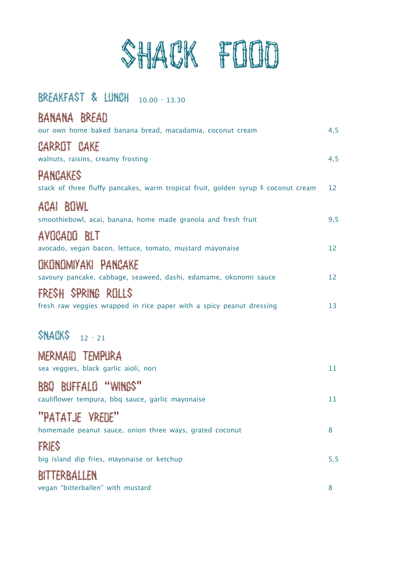

## BREAKFAST & LUNCH 10.00 - 13.30

BANANA BREAD

| when we would<br>our own home baked banana bread, macadamia, coconut cream                    | 4,5 |
|-----------------------------------------------------------------------------------------------|-----|
| CARROT CAKE<br>walnuts, raisins, creamy frosting                                              | 4,5 |
| PANCAKES<br>stack of three fluffy pancakes, warm tropical fruit, golden syrup & coconut cream | 12  |
| BOWL<br>ACAI<br>smoothiebowl, acai, banana, home made granola and fresh fruit                 | 9,5 |
| AVOCADO BLT<br>avocado, vegan bacon, lettuce, tomato, mustard mayonaise                       | 12  |
| OKONOMIYAKI PANCAKE<br>savoury pancake, cabbage, seaweed, dashi, edamame, okonomi sauce       | 12  |
| FRESH SPRING ROLLS<br>fresh raw veggies wrapped in rice paper with a spicy peanut dressing    | 13  |
| $$NAGKS$ 12 - 21                                                                              |     |
| MERMAIO TEMPURA<br>sea veggies, black garlic aioli, nori                                      | 11  |
| BUFFALD "WINGS"<br>BBU<br>cauliflower tempura, bbq sauce, garlic mayonaise                    | 11  |
| "PATATJE VREDE"<br>homemade peanut sauce, onion three ways, grated coconut                    | 8   |
| FRIES<br>big island dip fries, mayonaise or ketchup                                           | 5,5 |
| BITTERBALLEN<br>vegan "bitterballen" with mustard                                             | 8   |
|                                                                                               |     |